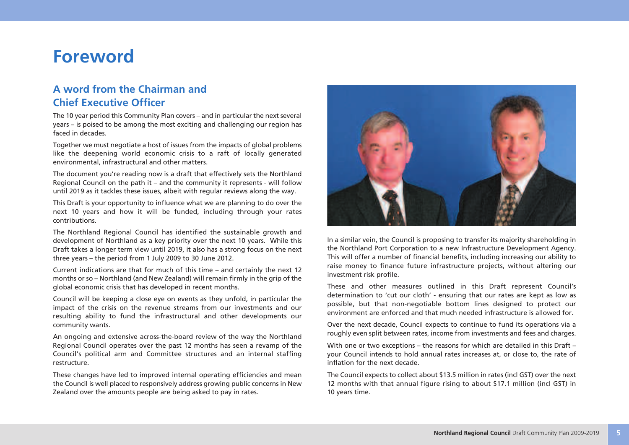## **Foreword**

## **A word from the Chairman and Chief Executive Officer**

The 10 year period this Community Plan covers – and in particular the next several years – is poised to be among the most exciting and challenging our region has faced in decades.

Together we must negotiate a host of issues from the impacts of global problems like the deepening world economic crisis to a raft of locally generated environmental, infrastructural and other matters.

The document you're reading now is a draft that effectively sets the Northland Regional Council on the path it – and the community it represents - will follow until 2019 as it tackles these issues, albeit with regular reviews along the way.

This Draft is your opportunity to influence what we are planning to do over the next 10 years and how it will be funded, including through your rates contributions.

The Northland Regional Council has identified the sustainable growth and development of Northland as a key priority over the next 10 years. While this Draft takes a longer term view until 2019, it also has a strong focus on the next three years – the period from 1 July 2009 to 30 June 2012.

Current indications are that for much of this time – and certainly the next 12 months or so – Northland (and New Zealand) will remain firmly in the grip of the global economic crisis that has developed in recent months.

Council will be keeping a close eye on events as they unfold, in particular the impact of the crisis on the revenue streams from our investments and our resulting ability to fund the infrastructural and other developments our community wants.

An ongoing and extensive across-the-board review of the way the Northland Regional Council operates over the past 12 months has seen a revamp of the Council's political arm and Committee structures and an internal staffing restructure.

These changes have led to improved internal operating efficiencies and mean the Council is well placed to responsively address growing public concerns in New Zealand over the amounts people are being asked to pay in rates.



In a similar vein, the Council is proposing to transfer its majority shareholding in the Northland Port Corporation to a new Infrastructure Development Agency. This will offer a number of financial benefits, including increasing our ability to raise money to finance future infrastructure projects, without altering our investment risk profile.

These and other measures outlined in this Draft represent Council's determination to 'cut our cloth' - ensuring that our rates are kept as low as possible, but that non-negotiable bottom lines designed to protect our environment are enforced and that much needed infrastructure is allowed for.

Over the next decade, Council expects to continue to fund its operations via a roughly even split between rates, income from investments and fees and charges.

With one or two exceptions – the reasons for which are detailed in this Draft – your Council intends to hold annual rates increases at, or close to, the rate of inflation for the next decade.

The Council expects to collect about \$13.5 million in rates (incl GST) over the next 12 months with that annual figure rising to about \$17.1 million (incl GST) in 10 years time.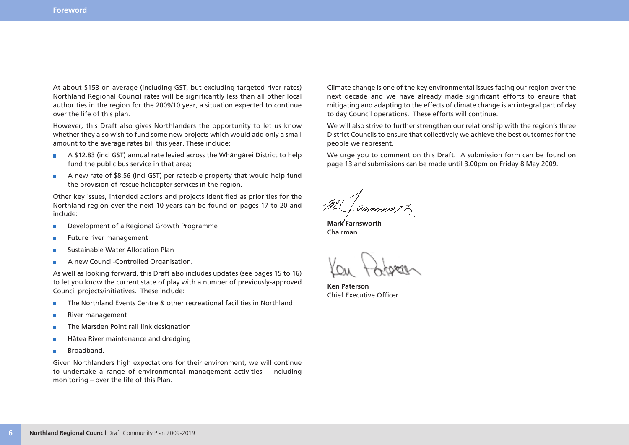At about \$153 on average (including GST, but excluding targeted river rates) Northland Regional Council rates will be significantly less than all other local authorities in the region for the 2009/10 year, a situation expected to continue over the life of this plan.

However, this Draft also gives Northlanders the opportunity to let us know whether they also wish to fund some new projects which would add only a small amount to the average rates bill this year. These include:

- A \$12.83 (incl GST) annual rate levied across the Whängärei District to help  $\overline{\phantom{a}}$ fund the public bus service in that area;
- A new rate of \$8.56 (incl GST) per rateable property that would help fund  $\overline{\phantom{a}}$ the provision of rescue helicopter services in the region.

Other key issues, intended actions and projects identified as priorities for the Northland region over the next 10 years can be found on pages 17 to 20 and include:

- Development of a Regional Growth Programme
- Future river management
- Sustainable Water Allocation Plan
- A new Council-Controlled Organisation. r.

As well as looking forward, this Draft also includes updates (see pages 15 to 16) to let you know the current state of play with a number of previously-approved Council projects/initiatives. These include:

- The Northland Events Centre & other recreational facilities in Northland ×
- River management
- The Marsden Point rail link designation
- Hätea River maintenance and dredging
- Broadband.

Given Northlanders high expectations for their environment, we will continue to undertake a range of environmental management activities – including monitoring – over the life of this Plan.

Climate change is one of the key environmental issues facing our region over the next decade and we have already made significant efforts to ensure that mitigating and adapting to the effects of climate change is an integral part of day to day Council operations. These efforts will continue.

We will also strive to further strengthen our relationship with the region's three District Councils to ensure that collectively we achieve the best outcomes for the people we represent.

We urge you to comment on this Draft. A submission form can be found on page 13 and submissions can be made until 3.00pm on Friday 8 May 2009.

**Mark Farnsworth** Chairman

**Ken Paterson** Chief Executive Officer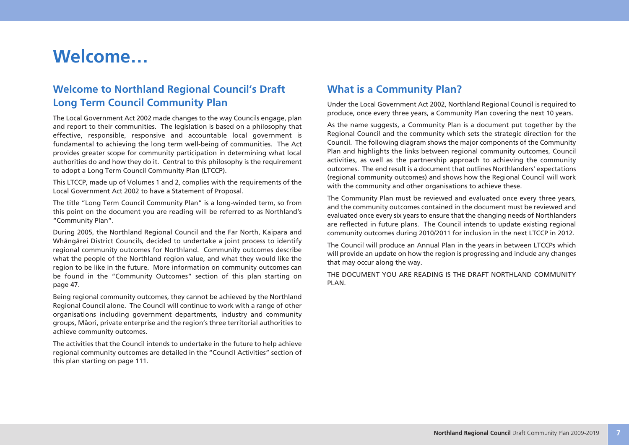## **Welcome…**

### **Welcome to Northland Regional Council's Draft Long Term Council Community Plan**

The Local Government Act 2002 made changes to the way Councils engage, plan and report to their communities. The legislation is based on a philosophy that effective, responsible, responsive and accountable local government is fundamental to achieving the long term well-being of communities. The Act provides greater scope for community participation in determining what local authorities do and how they do it. Central to this philosophy is the requirement to adopt a Long Term Council Community Plan (LTCCP).

This LTCCP, made up of Volumes 1 and 2, complies with the requirements of the Local Government Act 2002 to have a Statement of Proposal.

The title "Long Term Council Community Plan" is a long-winded term, so from this point on the document you are reading will be referred to as Northland's "Community Plan".

During 2005, the Northland Regional Council and the Far North, Kaipara and Whängärei District Councils, decided to undertake a joint process to identify regional community outcomes for Northland. Community outcomes describe what the people of the Northland region value, and what they would like the region to be like in the future. More information on community outcomes can be found in the "Community Outcomes" section of this plan starting on page 47.

Being regional community outcomes, they cannot be achieved by the Northland Regional Council alone. The Council will continue to work with a range of other organisations including government departments, industry and community groups, Mäori, private enterprise and the region's three territorial authorities to achieve community outcomes.

The activities that the Council intends to undertake in the future to help achieve regional community outcomes are detailed in the "Council Activities" section of this plan starting on page 111.

### **What is a Community Plan?**

Under the Local Government Act 2002, Northland Regional Council is required to produce, once every three years, a Community Plan covering the next 10 years.

As the name suggests, a Community Plan is a document put together by the Regional Council and the community which sets the strategic direction for the Council. The following diagram shows the major components of the Community Plan and highlights the links between regional community outcomes, Council activities, as well as the partnership approach to achieving the community outcomes. The end result is a document that outlines Northlanders' expectations (regional community outcomes) and shows how the Regional Council will work with the community and other organisations to achieve these.

The Community Plan must be reviewed and evaluated once every three years, and the community outcomes contained in the document must be reviewed and evaluated once every six years to ensure that the changing needs of Northlanders are reflected in future plans. The Council intends to update existing regional community outcomes during 2010/2011 for inclusion in the next LTCCP in 2012.

The Council will produce an Annual Plan in the years in between LTCCPs which will provide an update on how the region is progressing and include any changes that may occur along the way.

THE DOCUMENT YOU ARE READING IS THE DRAFT NORTHLAND COMMUNITY PLAN.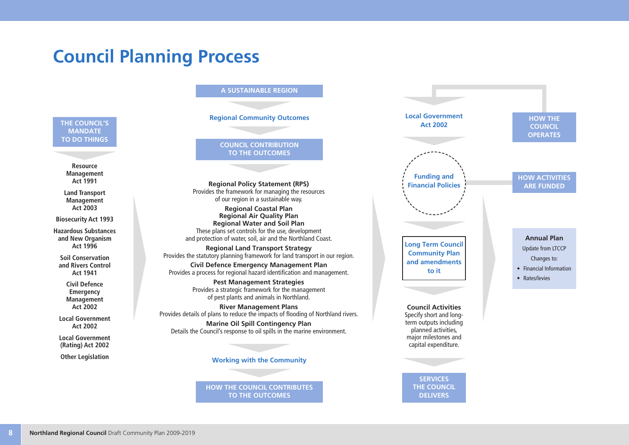# **Council Planning Process**

**THE COUNCIL'S MANDATE TO DO THINGS**

> **Resource Management Act 1991**

**Land Transport Management Act 2003**

**Biosecurity Act 1993**

**Hazardous Substances and New Organism Act 1996**

**Soil Conservation and Rivers Control Act 1941**

> **Civil Defence Emergency Management Act 2002**

**Local Government Act 2002**

**Local Government (Rating) Act 2002**

**Other Legislation**

#### **A SUSTAINABLE REGION**

**COUNCIL CONTRIBUTION TO THE OUTCOMES**

Provides the framework for managing the resources of our region in a sustainable way.

**Regional Coastal Plan Regional Air Quality Plan Regional Water and Soil Plan** These plans set controls for the use, development and protection of water, soil, air and the Northland Coast.

**Regional Land Transport Strategy** Provides the statutory planning framework for land transport in our region.

**Civil Defence Emergency Management Plan** Provides a process for regional hazard identification and management.

> **Pest Management Strategies** Provides a strategic framework for the management of pest plants and animals in Northland.

**River Management Plans** Provides details of plans to reduce the impacts of flooding of Northland rivers. **Marine Oil Spill Contingency Plan** Details the Council's response to oil spills in the marine environment.

**Working with the Community**

**HOW THE COUNCIL CONTRIBUTES TO THE OUTCOMES**

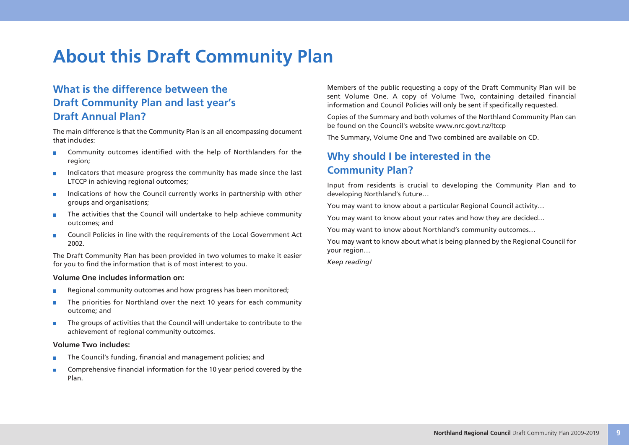# **About this Draft Community Plan**

## **What is the difference between the Draft Community Plan and last year's Draft Annual Plan?**

The main difference is that the Community Plan is an all encompassing document that includes:

- Community outcomes identified with the help of Northlanders for the  $\mathcal{L}_{\mathcal{A}}$ region;
- Indicators that measure progress the community has made since the last  $\overline{\phantom{a}}$ LTCCP in achieving regional outcomes;
- Indications of how the Council currently works in partnership with other  $\blacksquare$ groups and organisations;
- The activities that the Council will undertake to help achieve community  $\blacksquare$ outcomes; and
- Council Policies in line with the requirements of the Local Government Act  $\overline{\phantom{a}}$ 2002.

The Draft Community Plan has been provided in two volumes to make it easier for you to find the information that is of most interest to you.

#### **Volume One includes information on:**

- Regional community outcomes and how progress has been monitored; r.
- The priorities for Northland over the next 10 years for each community r. outcome; and
- The groups of activities that the Council will undertake to contribute to the r. achievement of regional community outcomes.

#### **Volume Two includes:**

- The Council's funding, financial and management policies; and r.
- Comprehensive financial information for the 10 year period covered by the Plan.

Members of the public requesting a copy of the Draft Community Plan will be sent Volume One. A copy of Volume Two, containing detailed financial information and Council Policies will only be sent if specifically requested.

Copies of the Summary and both volumes of the Northland Community Plan can be found on the Council's website www.nrc.govt.nz/ltccp

The Summary, Volume One and Two combined are available on CD.

## **Why should I be interested in the Community Plan?**

Input from residents is crucial to developing the Community Plan and to developing Northland's future…

You may want to know about a particular Regional Council activity…

You may want to know about your rates and how they are decided…

You may want to know about Northland's community outcomes…

You may want to know about what is being planned by the Regional Council for your region…

*Keep reading!*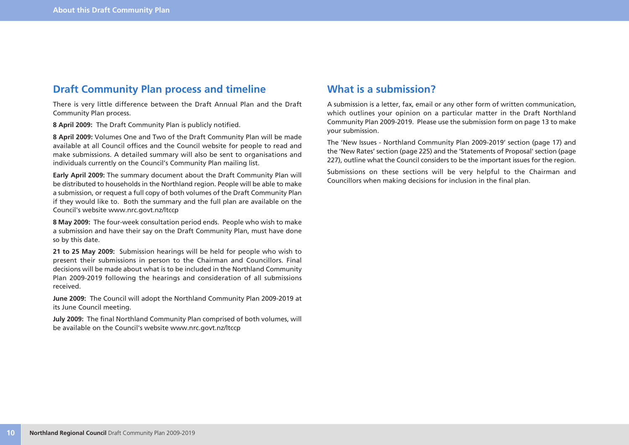#### **Draft Community Plan process and timeline**

There is very little difference between the Draft Annual Plan and the Draft Community Plan process.

**8 April 2009:** The Draft Community Plan is publicly notified.

**8 April 2009:** Volumes One and Two of the Draft Community Plan will be made available at all Council offices and the Council website for people to read and make submissions. A detailed summary will also be sent to organisations and individuals currently on the Council's Community Plan mailing list.

**Early April 2009:** The summary document about the Draft Community Plan will be distributed to households in the Northland region. People will be able to make a submission, or request a full copy of both volumes of the Draft Community Plan if they would like to. Both the summary and the full plan are available on the Council's website www.nrc.govt.nz/ltccp

**8 May 2009:** The four-week consultation period ends. People who wish to make a submission and have their say on the Draft Community Plan, must have done so by this date.

**21 to 25 May 2009:** Submission hearings will be held for people who wish to present their submissions in person to the Chairman and Councillors. Final decisions will be made about what is to be included in the Northland Community Plan 2009-2019 following the hearings and consideration of all submissions received.

**June 2009:** The Council will adopt the Northland Community Plan 2009-2019 at its June Council meeting.

**July 2009:** The final Northland Community Plan comprised of both volumes, will be available on the Council's website www.nrc.govt.nz/ltccp

#### **What is a submission?**

A submission is a letter, fax, email or any other form of written communication, which outlines your opinion on a particular matter in the Draft Northland Community Plan 2009-2019. Please use the submission form on page 13 to make your submission.

The 'New Issues - Northland Community Plan 2009-2019' section (page 17) and the 'New Rates' section (page 225) and the 'Statements of Proposal' section (page 227), outline what the Council considers to be the important issues for the region.

Submissions on these sections will be very helpful to the Chairman and Councillors when making decisions for inclusion in the final plan.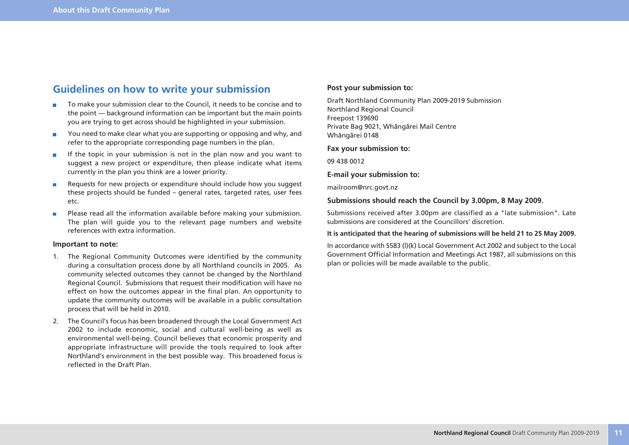#### **Guidelines on how to write your submission**

- To make your submission clear to the Council, it needs to be concise and to  $\overline{\phantom{a}}$ the point — background information can be important but the main points you are trying to get across should be highlighted in your submission.
- You need to make clear what you are supporting or opposing and why, and  $\blacksquare$ refer to the appropriate corresponding page numbers in the plan.
- $\overline{\phantom{a}}$ If the topic in your submission is not in the plan now and you want to suggest a new project or expenditure, then please indicate what items currently in the plan you think are a lower priority.
- Requests for new projects or expenditure should include how you suggest  $\blacksquare$ these projects should be funded – general rates, targeted rates, user fees etc.
- Please read all the information available before making your submission.  $\blacksquare$ The plan will guide you to the relevant page numbers and website references with extra information.

#### **Important to note:**

- 1. The Regional Community Outcomes were identified by the community during a consultation process done by all Northland councils in 2005. As community selected outcomes they cannot be changed by the Northland Regional Council. Submissions that request their modification will have no effect on how the outcomes appear in the final plan. An opportunity to update the community outcomes will be available in a public consultation process that will be held in 2010.
- 2. The Council's focus has been broadened through the Local Government Act 2002 to include economic, social and cultural well-being as well as environmental well-being. Council believes that economic prosperity and appropriate infrastructure will provide the tools required to look after Northland's environment in the best possible way. This broadened focus is reflected in the Draft Plan.

#### **Post your submission to:**

Draft Northland Community Plan 2009-2019 Submission Northland Regional Council Freepost 139690 Private Bag 9021, Whängärei Mail Centre Whängärei 0148

**Fax your submission to:**

09 438 0012

**E-mail your submission to:**

mailroom@nrc.govt.nz

#### **Submissions should reach the Council by 3.00pm, 8 May 2009.**

Submissions received after 3.00pm are classified as a "late submission". Late submissions are considered at the Councillors' discretion.

#### **It is anticipated that the hearing of submissions will be held 21 to 25 May 2009.**

In accordance with S583 (l)(k) Local Government Act 2002 and subject to the Local Government Official Information and Meetings Act 1987, all submissions on this plan or policies will be made available to the public.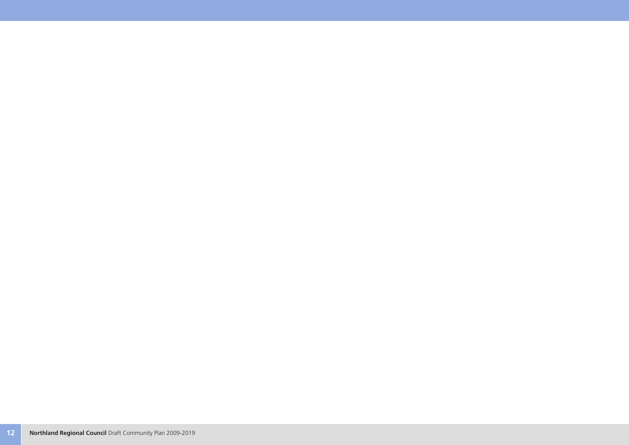#### **Northland Regional Council** Draft Community Plan 2009-2019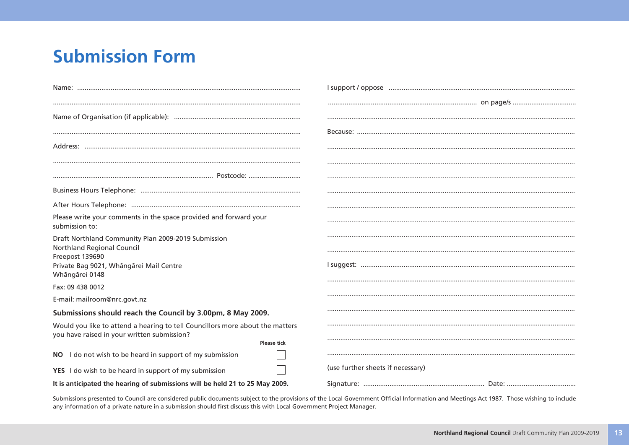# **Submission Form**

| Please write your comments in the space provided and forward your<br>submission to:                                          |                    |                                   |  |
|------------------------------------------------------------------------------------------------------------------------------|--------------------|-----------------------------------|--|
| Draft Northland Community Plan 2009-2019 Submission                                                                          |                    |                                   |  |
| Northland Regional Council<br>Freepost 139690                                                                                |                    |                                   |  |
| Private Bag 9021, Whāngārei Mail Centre<br>Whāngārei 0148                                                                    |                    |                                   |  |
| Fax: 09 438 0012                                                                                                             |                    |                                   |  |
| E-mail: mailroom@nrc.govt.nz                                                                                                 |                    |                                   |  |
| Submissions should reach the Council by 3.00pm, 8 May 2009.                                                                  |                    |                                   |  |
| Would you like to attend a hearing to tell Councillors more about the matters<br>you have raised in your written submission? |                    |                                   |  |
|                                                                                                                              | <b>Please tick</b> |                                   |  |
| NO I do not wish to be heard in support of my submission                                                                     |                    |                                   |  |
| YES I do wish to be heard in support of my submission                                                                        |                    | (use further sheets if necessary) |  |
| It is anticipated the hearing of submissions will be held 21 to 25 May 2009.                                                 |                    |                                   |  |

Submissions presented to Council are considered public documents subject to the provisions of the Local Government Official Information and Meetings Act 1987. Those wishing to include any information of a private nature in a submission should first discuss this with Local Government Project Manager.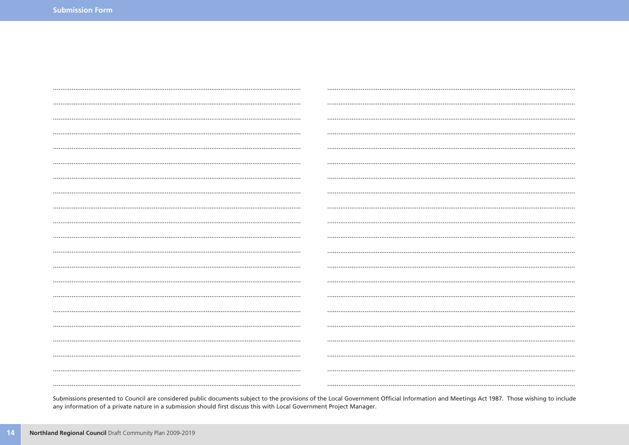Submissions presented to Council are considered public documents subject to the provisions of the Local Government Official Information and Meetings Act 1987. Those wishing to include<br>any information of a private nature in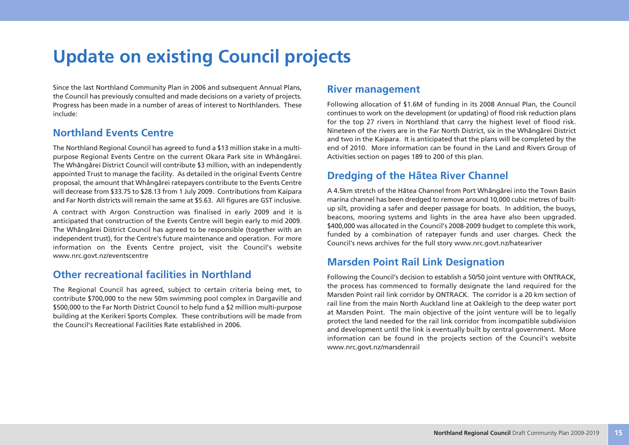## **Update on existing Council projects**

Since the last Northland Community Plan in 2006 and subsequent Annual Plans, the Council has previously consulted and made decisions on a variety of projects. Progress has been made in a number of areas of interest to Northlanders. These include:

#### **Northland Events Centre**

The Northland Regional Council has agreed to fund a \$13 million stake in a multipurpose Regional Events Centre on the current Okara Park site in Whängärei. The Whängärei District Council will contribute \$3 million, with an independently appointed Trust to manage the facility. As detailed in the original Events Centre proposal, the amount that Whängärei ratepayers contribute to the Events Centre will decrease from \$33.75 to \$28.13 from 1 July 2009. Contributions from Kaipara and Far North districts will remain the same at \$5.63. All figures are GST inclusive.

A contract with Argon Construction was finalised in early 2009 and it is anticipated that construction of the Events Centre will begin early to mid 2009. The Whängärei District Council has agreed to be responsible (together with an independent trust), for the Centre's future maintenance and operation. For more information on the Events Centre project, visit the Council's website www.nrc.govt.nz/eventscentre

#### **Other recreational facilities in Northland**

The Regional Council has agreed, subject to certain criteria being met, to contribute \$700,000 to the new 50m swimming pool complex in Dargaville and \$500,000 to the Far North District Council to help fund a \$2 million multi-purpose building at the Kerikeri Sports Complex. These contributions will be made from the Council's Recreational Facilities Rate established in 2006.

#### **River management**

Following allocation of \$1.6M of funding in its 2008 Annual Plan, the Council continues to work on the development (or updating) of flood risk reduction plans for the top 27 rivers in Northland that carry the highest level of flood risk. Nineteen of the rivers are in the Far North District, six in the Whängärei District and two in the Kaipara. It is anticipated that the plans will be completed by the end of 2010. More information can be found in the Land and Rivers Group of Activities section on pages 189 to 200 of this plan.

### **Dredging of the Hätea River Channel**

A 4.5km stretch of the Hätea Channel from Port Whängärei into the Town Basin marina channel has been dredged to remove around 10,000 cubic metres of builtup silt, providing a safer and deeper passage for boats. In addition, the buoys, beacons, mooring systems and lights in the area have also been upgraded. \$400,000 was allocated in the Council's 2008-2009 budget to complete this work, funded by a combination of ratepayer funds and user charges. Check the Council's news archives for the full story www.nrc.govt.nz/hateariver

#### **Marsden Point Rail Link Designation**

Following the Council's decision to establish a 50/50 joint venture with ONTRACK, the process has commenced to formally designate the land required for the Marsden Point rail link corridor by ONTRACK. The corridor is a 20 km section of rail line from the main North Auckland line at Oakleigh to the deep water port at Marsden Point. The main objective of the joint venture will be to legally protect the land needed for the rail link corridor from incompatible subdivision and development until the link is eventually built by central government. More information can be found in the projects section of the Council's website www.nrc.govt.nz/marsdenrail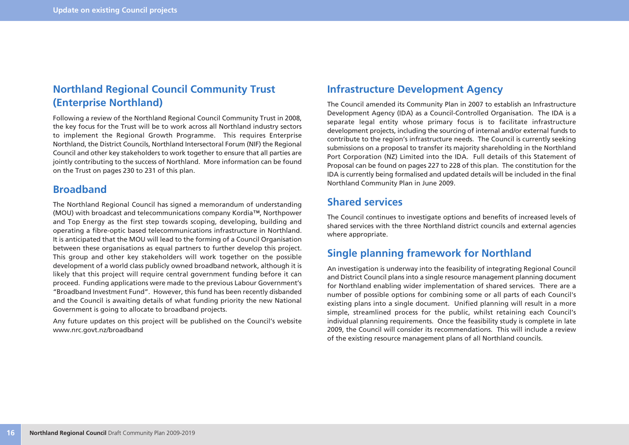## **Northland Regional Council Community Trust (Enterprise Northland)**

Following a review of the Northland Regional Council Community Trust in 2008, the key focus for the Trust will be to work across all Northland industry sectors to implement the Regional Growth Programme. This requires Enterprise Northland, the District Councils, Northland Intersectoral Forum (NIF) the Regional Council and other key stakeholders to work together to ensure that all parties are jointly contributing to the success of Northland. More information can be found on the Trust on pages 230 to 231 of this plan.

#### **Broadband**

The Northland Regional Council has signed a memorandum of understanding (MOU) with broadcast and telecommunications company Kordia™, Northpower and Top Energy as the first step towards scoping, developing, building and operating a fibre-optic based telecommunications infrastructure in Northland. It is anticipated that the MOU will lead to the forming of a Council Organisation between these organisations as equal partners to further develop this project. This group and other key stakeholders will work together on the possible development of a world class publicly owned broadband network, although it is likely that this project will require central government funding before it can proceed. Funding applications were made to the previous Labour Government's "Broadband Investment Fund". However, this fund has been recently disbanded and the Council is awaiting details of what funding priority the new National Government is going to allocate to broadband projects.

Any future updates on this project will be published on the Council's website www.nrc.govt.nz/broadband

### **Infrastructure Development Agency**

The Council amended its Community Plan in 2007 to establish an Infrastructure Development Agency (IDA) as a Council-Controlled Organisation. The IDA is a separate legal entity whose primary focus is to facilitate infrastructure development projects, including the sourcing of internal and/or external funds to contribute to the region's infrastructure needs. The Council is currently seeking submissions on a proposal to transfer its majority shareholding in the Northland Port Corporation (NZ) Limited into the IDA. Full details of this Statement of Proposal can be found on pages 227 to 228 of this plan. The constitution for the IDA is currently being formalised and updated details will be included in the final Northland Community Plan in June 2009.

### **Shared services**

The Council continues to investigate options and benefits of increased levels of shared services with the three Northland district councils and external agencies where appropriate.

### **Single planning framework for Northland**

An investigation is underway into the feasibility of integrating Regional Council and District Council plans into a single resource management planning document for Northland enabling wider implementation of shared services. There are a number of possible options for combining some or all parts of each Council's existing plans into a single document. Unified planning will result in a more simple, streamlined process for the public, whilst retaining each Council's individual planning requirements. Once the feasibility study is complete in late 2009, the Council will consider its recommendations. This will include a review of the existing resource management plans of all Northland councils.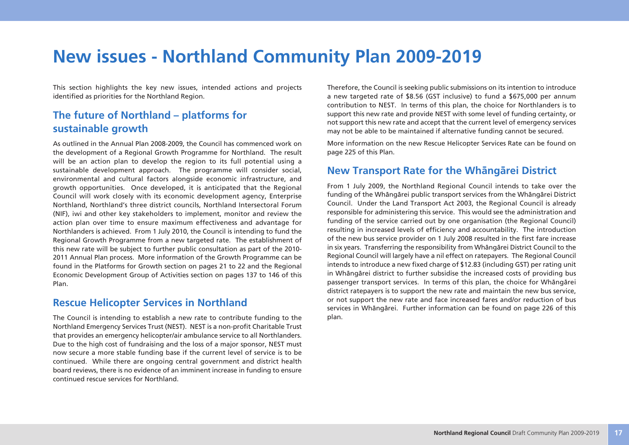## **New issues - Northland Community Plan 2009-2019**

This section highlights the key new issues, intended actions and projects identified as priorities for the Northland Region.

### **The future of Northland – platforms for sustainable growth**

As outlined in the Annual Plan 2008-2009, the Council has commenced work on the development of a Regional Growth Programme for Northland. The result will be an action plan to develop the region to its full potential using a sustainable development approach. The programme will consider social, environmental and cultural factors alongside economic infrastructure, and growth opportunities. Once developed, it is anticipated that the Regional Council will work closely with its economic development agency, Enterprise Northland, Northland's three district councils, Northland Intersectoral Forum (NIF), iwi and other key stakeholders to implement, monitor and review the action plan over time to ensure maximum effectiveness and advantage for Northlanders is achieved. From 1 July 2010, the Council is intending to fund the Regional Growth Programme from a new targeted rate. The establishment of this new rate will be subject to further public consultation as part of the 2010- 2011 Annual Plan process. More information of the Growth Programme can be found in the Platforms for Growth section on pages 21 to 22 and the Regional Economic Development Group of Activities section on pages 137 to 146 of this Plan.

#### **Rescue Helicopter Services in Northland**

The Council is intending to establish a new rate to contribute funding to the Northland Emergency Services Trust (NEST). NEST is a non-profit Charitable Trust that provides an emergency helicopter/air ambulance service to all Northlanders. Due to the high cost of fundraising and the loss of a major sponsor, NEST must now secure a more stable funding base if the current level of service is to be continued. While there are ongoing central government and district health board reviews, there is no evidence of an imminent increase in funding to ensure continued rescue services for Northland.

Therefore, the Council is seeking public submissions on its intention to introduce a new targeted rate of \$8.56 (GST inclusive) to fund a \$675,000 per annum contribution to NEST. In terms of this plan, the choice for Northlanders is to support this new rate and provide NEST with some level of funding certainty, or not support this new rate and accept that the current level of emergency services may not be able to be maintained if alternative funding cannot be secured.

More information on the new Rescue Helicopter Services Rate can be found on page 225 of this Plan.

#### **New Transport Rate for the Whängärei District**

From 1 July 2009, the Northland Regional Council intends to take over the funding of the Whängärei public transport services from the Whängärei District Council. Under the Land Transport Act 2003, the Regional Council is already responsible for administering this service. This would see the administration and funding of the service carried out by one organisation (the Regional Council) resulting in increased levels of efficiency and accountability. The introduction of the new bus service provider on 1 July 2008 resulted in the first fare increase in six years. Transferring the responsibility from Whängärei District Council to the Regional Council will largely have a nil effect on ratepayers. The Regional Council intends to introduce a new fixed charge of \$12.83 (including GST) per rating unit in Whängärei district to further subsidise the increased costs of providing bus passenger transport services. In terms of this plan, the choice for Whängärei district ratepayers is to support the new rate and maintain the new bus service, or not support the new rate and face increased fares and/or reduction of bus services in Whängärei. Further information can be found on page 226 of this plan.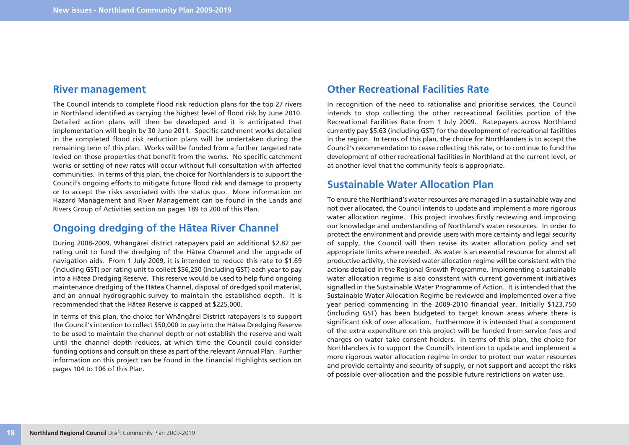#### **River management**

The Council intends to complete flood risk reduction plans for the top 27 rivers in Northland identified as carrying the highest level of flood risk by June 2010. Detailed action plans will then be developed and it is anticipated that implementation will begin by 30 June 2011. Specific catchment works detailed in the completed flood risk reduction plans will be undertaken during the remaining term of this plan. Works will be funded from a further targeted rate levied on those properties that benefit from the works. No specific catchment works or setting of new rates will occur without full consultation with affected communities. In terms of this plan, the choice for Northlanders is to support the Council's ongoing efforts to mitigate future flood risk and damage to property or to accept the risks associated with the status quo. More information on Hazard Management and River Management can be found in the Lands and Rivers Group of Activities section on pages 189 to 200 of this Plan.

#### **Ongoing dredging of the Hätea River Channel**

During 2008-2009, Whängärei district ratepayers paid an additional \$2.82 per rating unit to fund the dredging of the Hätea Channel and the upgrade of navigation aids. From 1 July 2009, it is intended to reduce this rate to \$1.69 (including GST) per rating unit to collect \$56,250 (including GST) each year to pay into a Hätea Dredging Reserve. This reserve would be used to help fund ongoing maintenance dredging of the Hätea Channel, disposal of dredged spoil material, and an annual hydrographic survey to maintain the established depth. It is recommended that the Hätea Reserve is capped at \$225,000.

In terms of this plan, the choice for Whängärei District ratepayers is to support the Council's intention to collect \$50,000 to pay into the Hätea Dredging Reserve to be used to maintain the channel depth or not establish the reserve and wait until the channel depth reduces, at which time the Council could consider funding options and consult on these as part of the relevant Annual Plan. Further information on this project can be found in the Financial Highlights section on pages 104 to 106 of this Plan.

#### **Other Recreational Facilities Rate**

In recognition of the need to rationalise and prioritise services, the Council intends to stop collecting the other recreational facilities portion of the Recreational Facilities Rate from 1 July 2009. Ratepayers across Northland currently pay \$5.63 (including GST) for the development of recreational facilities in the region. In terms of this plan, the choice for Northlanders is to accept the Council's recommendation to cease collecting this rate, or to continue to fund the development of other recreational facilities in Northland at the current level, or at another level that the community feels is appropriate.

#### **Sustainable Water Allocation Plan**

To ensure the Northland's water resources are managed in a sustainable way and not over allocated, the Council intends to update and implement a more rigorous water allocation regime. This project involves firstly reviewing and improving our knowledge and understanding of Northland's water resources. In order to protect the environment and provide users with more certainty and legal security of supply, the Council will then revise its water allocation policy and set appropriate limits where needed. As water is an essential resource for almost all productive activity, the revised water allocation regime will be consistent with the actions detailed in the Regional Growth Programme. Implementing a sustainable water allocation regime is also consistent with current government initiatives signalled in the Sustainable Water Programme of Action. It is intended that the Sustainable Water Allocation Regime be reviewed and implemented over a five year period commencing in the 2009-2010 financial year. Initially \$123,750 (including GST) has been budgeted to target known areas where there is significant risk of over allocation. Furthermore it is intended that a component of the extra expenditure on this project will be funded from service fees and charges on water take consent holders. In terms of this plan, the choice for Northlanders is to support the Council's intention to update and implement a more rigorous water allocation regime in order to protect our water resources and provide certainty and security of supply, or not support and accept the risks of possible over-allocation and the possible future restrictions on water use.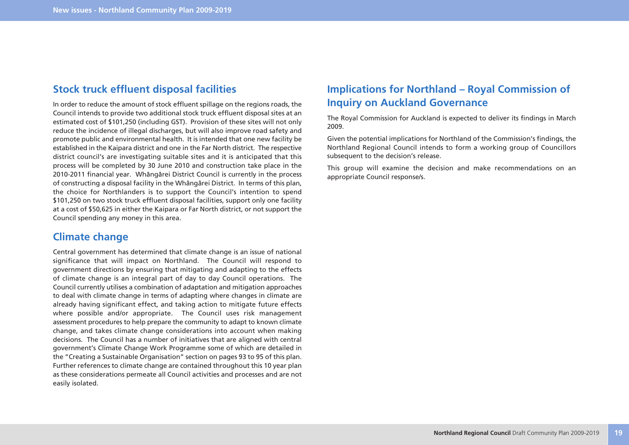### **Stock truck effluent disposal facilities**

In order to reduce the amount of stock effluent spillage on the regions roads, the Council intends to provide two additional stock truck effluent disposal sites at an estimated cost of \$101,250 (including GST). Provision of these sites will not only reduce the incidence of illegal discharges, but will also improve road safety and promote public and environmental health. It is intended that one new facility be established in the Kaipara district and one in the Far North district. The respective district council's are investigating suitable sites and it is anticipated that this process will be completed by 30 June 2010 and construction take place in the 2010-2011 financial year. Whängärei District Council is currently in the process of constructing a disposal facility in the Whängärei District. In terms of this plan, the choice for Northlanders is to support the Council's intention to spend \$101,250 on two stock truck effluent disposal facilities, support only one facility at a cost of \$50,625 in either the Kaipara or Far North district, or not support the Council spending any money in this area.

#### **Climate change**

Central government has determined that climate change is an issue of national significance that will impact on Northland. The Council will respond to government directions by ensuring that mitigating and adapting to the effects of climate change is an integral part of day to day Council operations. The Council currently utilises a combination of adaptation and mitigation approaches to deal with climate change in terms of adapting where changes in climate are already having significant effect, and taking action to mitigate future effects where possible and/or appropriate. The Council uses risk management assessment procedures to help prepare the community to adapt to known climate change, and takes climate change considerations into account when making decisions. The Council has a number of initiatives that are aligned with central government's Climate Change Work Programme some of which are detailed in the "Creating a Sustainable Organisation" section on pages 93 to 95 of this plan. Further references to climate change are contained throughout this 10 year plan as these considerations permeate all Council activities and processes and are not easily isolated.

## **Implications for Northland – Royal Commission of Inquiry on Auckland Governance**

The Royal Commission for Auckland is expected to deliver its findings in March 2009.

Given the potential implications for Northland of the Commission's findings, the Northland Regional Council intends to form a working group of Councillors subsequent to the decision's release.

This group will examine the decision and make recommendations on an appropriate Council response/s.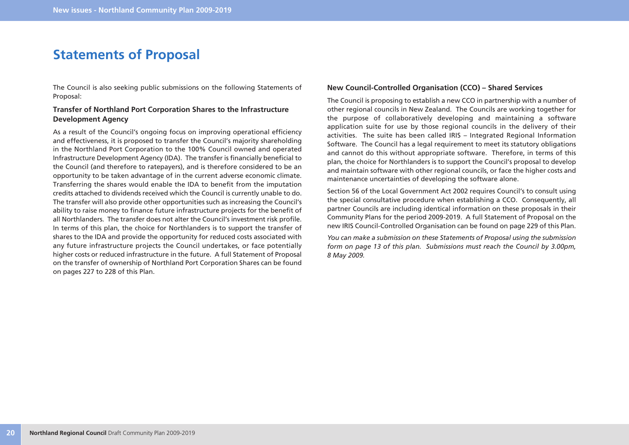## **Statements of Proposal**

The Council is also seeking public submissions on the following Statements of Proposal:

#### **Transfer of Northland Port Corporation Shares to the Infrastructure Development Agency**

As a result of the Council's ongoing focus on improving operational efficiency and effectiveness, it is proposed to transfer the Council's majority shareholding in the Northland Port Corporation to the 100% Council owned and operated Infrastructure Development Agency (IDA). The transfer is financially beneficial to the Council (and therefore to ratepayers), and is therefore considered to be an opportunity to be taken advantage of in the current adverse economic climate. Transferring the shares would enable the IDA to benefit from the imputation credits attached to dividends received which the Council is currently unable to do. The transfer will also provide other opportunities such as increasing the Council's ability to raise money to finance future infrastructure projects for the benefit of all Northlanders. The transfer does not alter the Council's investment risk profile. In terms of this plan, the choice for Northlanders is to support the transfer of shares to the IDA and provide the opportunity for reduced costs associated with any future infrastructure projects the Council undertakes, or face potentially higher costs or reduced infrastructure in the future. A full Statement of Proposal on the transfer of ownership of Northland Port Corporation Shares can be found on pages 227 to 228 of this Plan.

#### **New Council-Controlled Organisation (CCO) – Shared Services**

The Council is proposing to establish a new CCO in partnership with a number of other regional councils in New Zealand. The Councils are working together for the purpose of collaboratively developing and maintaining a software application suite for use by those regional councils in the delivery of their activities. The suite has been called IRIS – Integrated Regional Information Software. The Council has a legal requirement to meet its statutory obligations and cannot do this without appropriate software. Therefore, in terms of this plan, the choice for Northlanders is to support the Council's proposal to develop and maintain software with other regional councils, or face the higher costs and maintenance uncertainties of developing the software alone.

Section 56 of the Local Government Act 2002 requires Council's to consult using the special consultative procedure when establishing a CCO. Consequently, all partner Councils are including identical information on these proposals in their Community Plans for the period 2009-2019. A full Statement of Proposal on the new IRIS Council-Controlled Organisation can be found on page 229 of this Plan.

*You can make a submission on these Statements of Proposal using the submission form on page 13 of this plan. Submissions must reach the Council by 3.00pm, 8 May 2009.*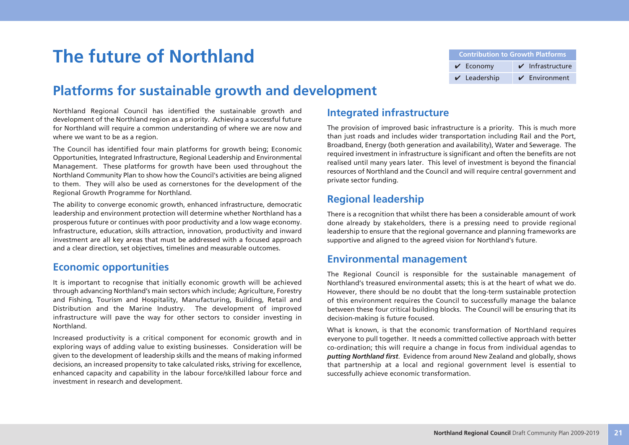# **The future of Northland Contribution to Growth Platforms**



## **Platforms for sustainable growth and development**

Northland Regional Council has identified the sustainable growth and development of the Northland region as a priority. Achieving a successful future for Northland will require a common understanding of where we are now and where we want to be as a region.

The Council has identified four main platforms for growth being; Economic Opportunities, Integrated Infrastructure, Regional Leadership and Environmental Management. These platforms for growth have been used throughout the Northland Community Plan to show how the Council's activities are being aligned to them. They will also be used as cornerstones for the development of the Regional Growth Programme for Northland.

The ability to converge economic growth, enhanced infrastructure, democratic leadership and environment protection will determine whether Northland has a prosperous future or continues with poor productivity and a low wage economy. Infrastructure, education, skills attraction, innovation, productivity and inward investment are all key areas that must be addressed with a focused approach and a clear direction, set objectives, timelines and measurable outcomes.

#### **Economic opportunities**

It is important to recognise that initially economic growth will be achieved through advancing Northland's main sectors which include; Agriculture, Forestry and Fishing, Tourism and Hospitality, Manufacturing, Building, Retail and Distribution and the Marine Industry. The development of improved infrastructure will pave the way for other sectors to consider investing in Northland.

Increased productivity is a critical component for economic growth and in exploring ways of adding value to existing businesses. Consideration will be given to the development of leadership skills and the means of making informed decisions, an increased propensity to take calculated risks, striving for excellence, enhanced capacity and capability in the labour force/skilled labour force and investment in research and development.

### **Integrated infrastructure**

The provision of improved basic infrastructure is a priority. This is much more than just roads and includes wider transportation including Rail and the Port, Broadband, Energy (both generation and availability), Water and Sewerage. The required investment in infrastructure is significant and often the benefits are not realised until many years later. This level of investment is beyond the financial resources of Northland and the Council and will require central government and private sector funding.

### **Regional leadership**

There is a recognition that whilst there has been a considerable amount of work done already by stakeholders, there is a pressing need to provide regional leadership to ensure that the regional governance and planning frameworks are supportive and aligned to the agreed vision for Northland's future.

#### **Environmental management**

The Regional Council is responsible for the sustainable management of Northland's treasured environmental assets; this is at the heart of what we do. However, there should be no doubt that the long-term sustainable protection of this environment requires the Council to successfully manage the balance between these four critical building blocks. The Council will be ensuring that its decision-making is future focused.

What is known, is that the economic transformation of Northland requires everyone to pull together. It needs a committed collective approach with better co-ordination; this will require a change in focus from individual agendas to *putting Northland first*. Evidence from around New Zealand and globally, shows that partnership at a local and regional government level is essential to successfully achieve economic transformation.